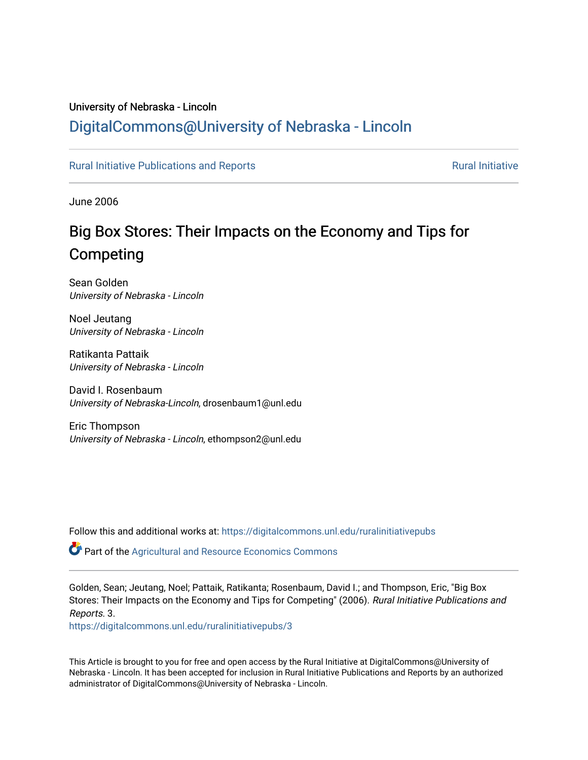# University of Nebraska - Lincoln [DigitalCommons@University of Nebraska - Lincoln](https://digitalcommons.unl.edu/)

## [Rural Initiative Publications and Reports](https://digitalcommons.unl.edu/ruralinitiativepubs) **[Rural Initiative](https://digitalcommons.unl.edu/rural_initiative) Rural Initiative** Rural Initiative

June 2006

# Big Box Stores: Their Impacts on the Economy and Tips for Competing

Sean Golden University of Nebraska - Lincoln

Noel Jeutang University of Nebraska - Lincoln

Ratikanta Pattaik University of Nebraska - Lincoln

David I. Rosenbaum University of Nebraska-Lincoln, drosenbaum1@unl.edu

Eric Thompson University of Nebraska - Lincoln, ethompson2@unl.edu

Follow this and additional works at: [https://digitalcommons.unl.edu/ruralinitiativepubs](https://digitalcommons.unl.edu/ruralinitiativepubs?utm_source=digitalcommons.unl.edu%2Fruralinitiativepubs%2F3&utm_medium=PDF&utm_campaign=PDFCoverPages) 

Part of the [Agricultural and Resource Economics Commons](http://network.bepress.com/hgg/discipline/317?utm_source=digitalcommons.unl.edu%2Fruralinitiativepubs%2F3&utm_medium=PDF&utm_campaign=PDFCoverPages) 

Golden, Sean; Jeutang, Noel; Pattaik, Ratikanta; Rosenbaum, David I.; and Thompson, Eric, "Big Box Stores: Their Impacts on the Economy and Tips for Competing" (2006). Rural Initiative Publications and Reports. 3.

[https://digitalcommons.unl.edu/ruralinitiativepubs/3](https://digitalcommons.unl.edu/ruralinitiativepubs/3?utm_source=digitalcommons.unl.edu%2Fruralinitiativepubs%2F3&utm_medium=PDF&utm_campaign=PDFCoverPages) 

This Article is brought to you for free and open access by the Rural Initiative at DigitalCommons@University of Nebraska - Lincoln. It has been accepted for inclusion in Rural Initiative Publications and Reports by an authorized administrator of DigitalCommons@University of Nebraska - Lincoln.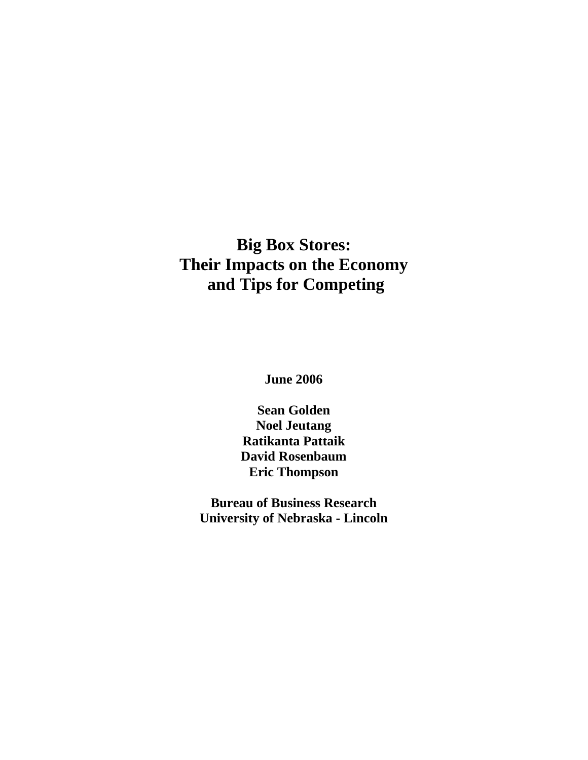# **Big Box Stores: Their Impacts on the Economy and Tips for Competing**

**June 2006** 

**Sean Golden Noel Jeutang Ratikanta Pattaik David Rosenbaum Eric Thompson** 

**Bureau of Business Research University of Nebraska - Lincoln**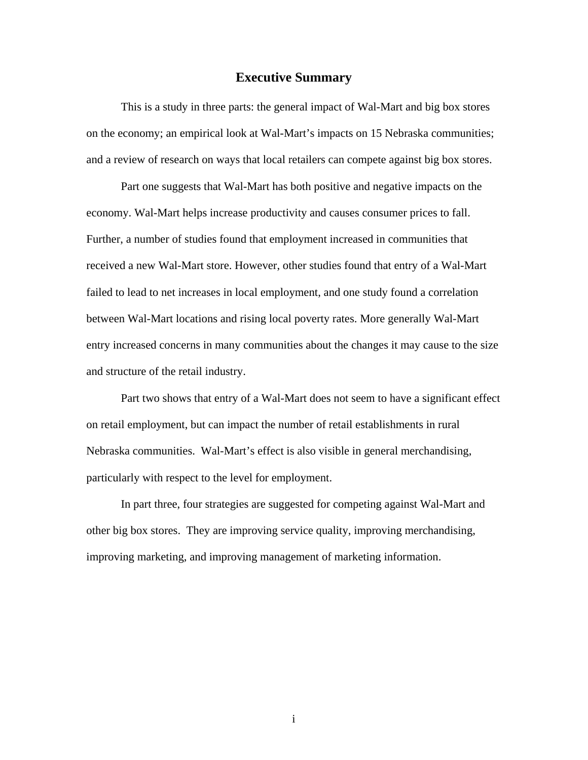## **Executive Summary**

This is a study in three parts: the general impact of Wal-Mart and big box stores on the economy; an empirical look at Wal-Mart's impacts on 15 Nebraska communities; and a review of research on ways that local retailers can compete against big box stores.

Part one suggests that Wal-Mart has both positive and negative impacts on the economy. Wal-Mart helps increase productivity and causes consumer prices to fall. Further, a number of studies found that employment increased in communities that received a new Wal-Mart store. However, other studies found that entry of a Wal-Mart failed to lead to net increases in local employment, and one study found a correlation between Wal-Mart locations and rising local poverty rates. More generally Wal-Mart entry increased concerns in many communities about the changes it may cause to the size and structure of the retail industry.

Part two shows that entry of a Wal-Mart does not seem to have a significant effect on retail employment, but can impact the number of retail establishments in rural Nebraska communities. Wal-Mart's effect is also visible in general merchandising, particularly with respect to the level for employment.

In part three, four strategies are suggested for competing against Wal-Mart and other big box stores. They are improving service quality, improving merchandising, improving marketing, and improving management of marketing information.

i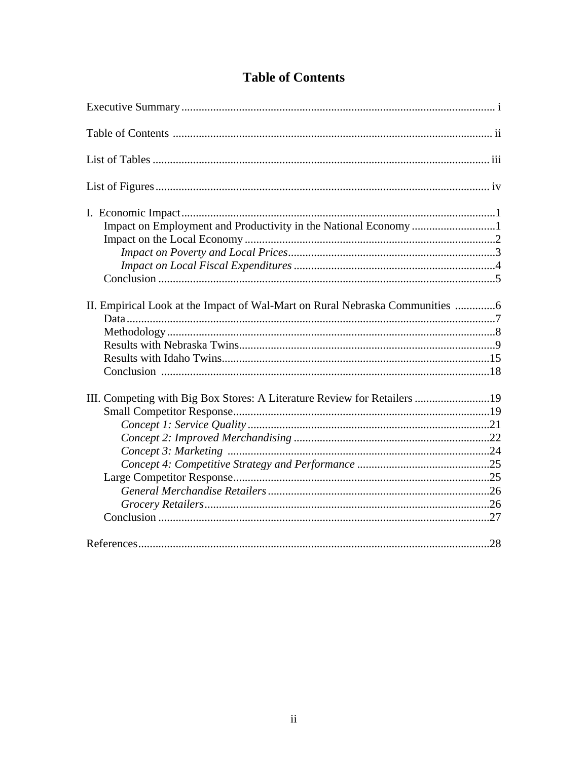| II. Empirical Look at the Impact of Wal-Mart on Rural Nebraska Communities |
|----------------------------------------------------------------------------|
|                                                                            |
|                                                                            |
|                                                                            |
|                                                                            |
|                                                                            |
|                                                                            |
| III. Competing with Big Box Stores: A Literature Review for Retailers 19   |
|                                                                            |
|                                                                            |
|                                                                            |
|                                                                            |
|                                                                            |
|                                                                            |
|                                                                            |
|                                                                            |
|                                                                            |
|                                                                            |

# **Table of Contents**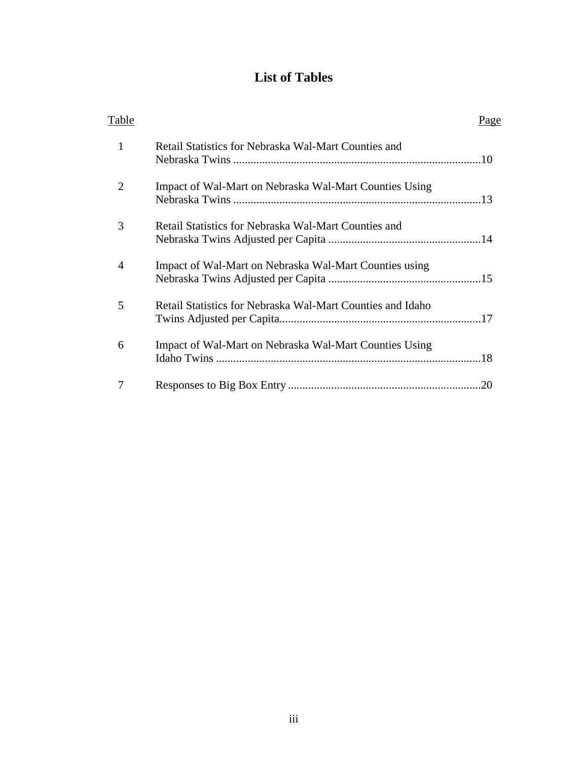# **List of Tables**

| Table          |                                                            | Page |
|----------------|------------------------------------------------------------|------|
| 1              | Retail Statistics for Nebraska Wal-Mart Counties and       |      |
| 2              | Impact of Wal-Mart on Nebraska Wal-Mart Counties Using     |      |
| 3              | Retail Statistics for Nebraska Wal-Mart Counties and       |      |
| $\overline{4}$ | Impact of Wal-Mart on Nebraska Wal-Mart Counties using     |      |
| 5              | Retail Statistics for Nebraska Wal-Mart Counties and Idaho |      |
| 6              | Impact of Wal-Mart on Nebraska Wal-Mart Counties Using     |      |
|                |                                                            |      |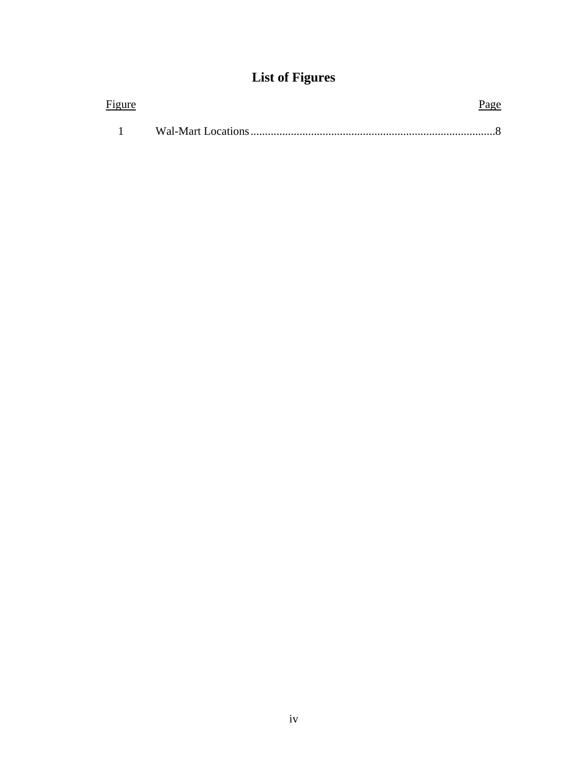# **List of Figures**

| Figure | <u>Page</u> |
|--------|-------------|
|        |             |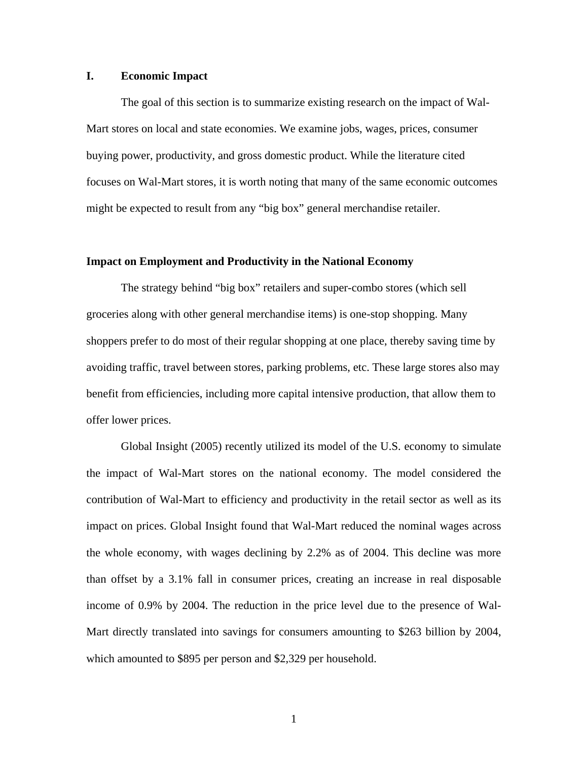## **I. Economic Impact**

The goal of this section is to summarize existing research on the impact of Wal-Mart stores on local and state economies. We examine jobs, wages, prices, consumer buying power, productivity, and gross domestic product. While the literature cited focuses on Wal-Mart stores, it is worth noting that many of the same economic outcomes might be expected to result from any "big box" general merchandise retailer.

#### **Impact on Employment and Productivity in the National Economy**

The strategy behind "big box" retailers and super-combo stores (which sell groceries along with other general merchandise items) is one-stop shopping. Many shoppers prefer to do most of their regular shopping at one place, thereby saving time by avoiding traffic, travel between stores, parking problems, etc. These large stores also may benefit from efficiencies, including more capital intensive production, that allow them to offer lower prices.

Global Insight (2005) recently utilized its model of the U.S. economy to simulate the impact of Wal-Mart stores on the national economy. The model considered the contribution of Wal-Mart to efficiency and productivity in the retail sector as well as its impact on prices. Global Insight found that Wal-Mart reduced the nominal wages across the whole economy, with wages declining by 2.2% as of 2004. This decline was more than offset by a 3.1% fall in consumer prices, creating an increase in real disposable income of 0.9% by 2004. The reduction in the price level due to the presence of Wal-Mart directly translated into savings for consumers amounting to \$263 billion by 2004, which amounted to \$895 per person and \$2,329 per household.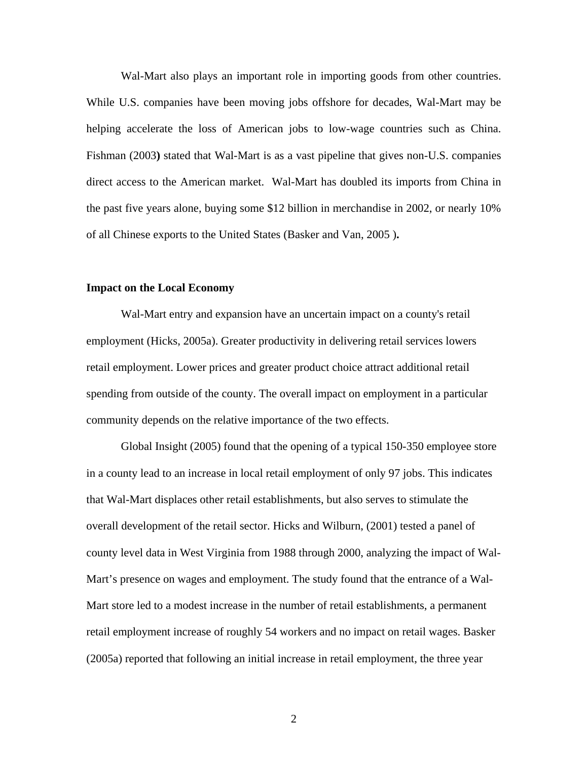Wal-Mart also plays an important role in importing goods from other countries. While U.S. companies have been moving jobs offshore for decades, Wal-Mart may be helping accelerate the loss of American jobs to low-wage countries such as China. Fishman (2003**)** stated that Wal-Mart is as a vast pipeline that gives non-U.S. companies direct access to the American market. Wal-Mart has doubled its imports from China in the past five years alone, buying some \$12 billion in merchandise in 2002, or nearly 10% of all Chinese exports to the United States (Basker and Van, 2005 )**.**

#### **Impact on the Local Economy**

Wal-Mart entry and expansion have an uncertain impact on a county's retail employment (Hicks, 2005a). Greater productivity in delivering retail services lowers retail employment. Lower prices and greater product choice attract additional retail spending from outside of the county. The overall impact on employment in a particular community depends on the relative importance of the two effects.

Global Insight (2005) found that the opening of a typical 150-350 employee store in a county lead to an increase in local retail employment of only 97 jobs. This indicates that Wal-Mart displaces other retail establishments, but also serves to stimulate the overall development of the retail sector. Hicks and Wilburn, (2001) tested a panel of county level data in West Virginia from 1988 through 2000, analyzing the impact of Wal-Mart's presence on wages and employment. The study found that the entrance of a Wal-Mart store led to a modest increase in the number of retail establishments, a permanent retail employment increase of roughly 54 workers and no impact on retail wages. Basker (2005a) reported that following an initial increase in retail employment, the three year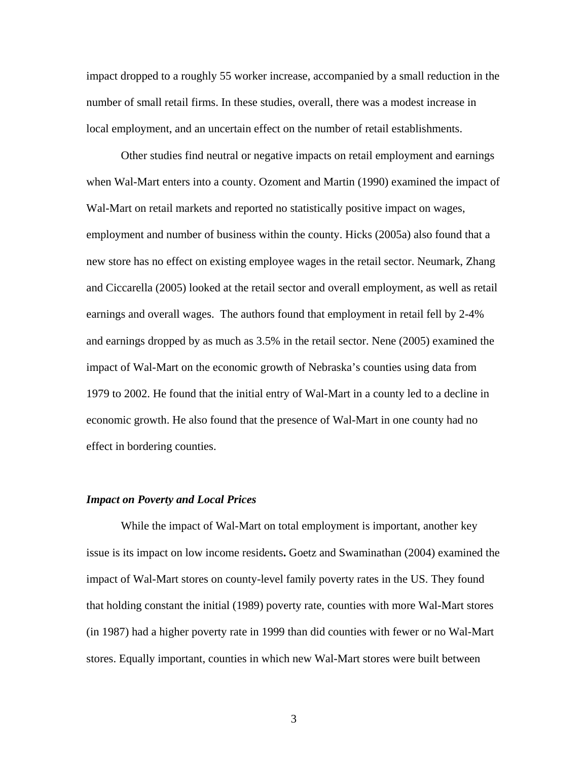impact dropped to a roughly 55 worker increase, accompanied by a small reduction in the number of small retail firms. In these studies, overall, there was a modest increase in local employment, and an uncertain effect on the number of retail establishments.

Other studies find neutral or negative impacts on retail employment and earnings when Wal-Mart enters into a county. Ozoment and Martin (1990) examined the impact of Wal-Mart on retail markets and reported no statistically positive impact on wages, employment and number of business within the county. Hicks (2005a) also found that a new store has no effect on existing employee wages in the retail sector. Neumark, Zhang and Ciccarella (2005) looked at the retail sector and overall employment, as well as retail earnings and overall wages. The authors found that employment in retail fell by 2-4% and earnings dropped by as much as 3.5% in the retail sector. Nene (2005) examined the impact of Wal-Mart on the economic growth of Nebraska's counties using data from 1979 to 2002. He found that the initial entry of Wal-Mart in a county led to a decline in economic growth. He also found that the presence of Wal-Mart in one county had no effect in bordering counties.

#### *Impact on Poverty and Local Prices*

While the impact of Wal-Mart on total employment is important, another key issue is its impact on low income residents**.** Goetz and Swaminathan (2004) examined the impact of Wal-Mart stores on county-level family poverty rates in the US. They found that holding constant the initial (1989) poverty rate, counties with more Wal-Mart stores (in 1987) had a higher poverty rate in 1999 than did counties with fewer or no Wal-Mart stores. Equally important, counties in which new Wal-Mart stores were built between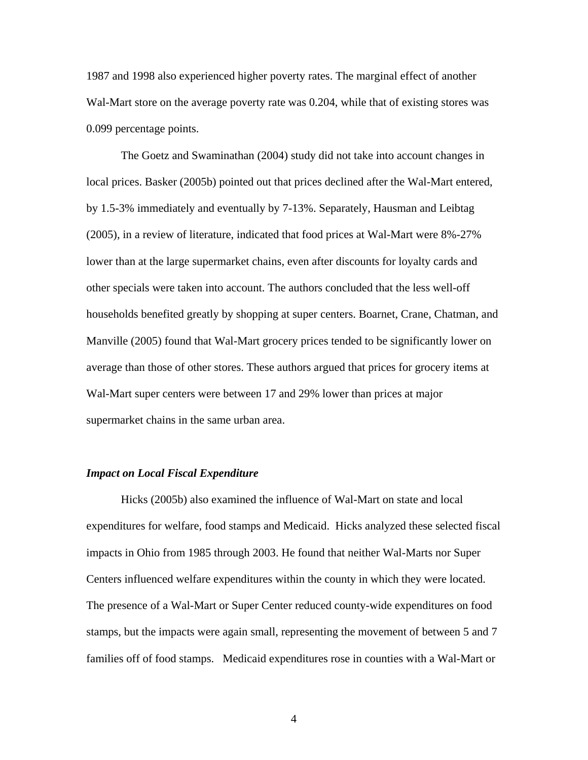1987 and 1998 also experienced higher poverty rates. The marginal effect of another Wal-Mart store on the average poverty rate was 0.204, while that of existing stores was 0.099 percentage points.

The Goetz and Swaminathan (2004) study did not take into account changes in local prices. Basker (2005b) pointed out that prices declined after the Wal-Mart entered, by 1.5-3% immediately and eventually by 7-13%. Separately, Hausman and Leibtag (2005), in a review of literature, indicated that food prices at Wal-Mart were 8%-27% lower than at the large supermarket chains, even after discounts for loyalty cards and other specials were taken into account. The authors concluded that the less well-off households benefited greatly by shopping at super centers. Boarnet, Crane, Chatman, and Manville (2005) found that Wal-Mart grocery prices tended to be significantly lower on average than those of other stores. These authors argued that prices for grocery items at Wal-Mart super centers were between 17 and 29% lower than prices at major supermarket chains in the same urban area.

#### *Impact on Local Fiscal Expenditure*

Hicks (2005b) also examined the influence of Wal-Mart on state and local expenditures for welfare, food stamps and Medicaid. Hicks analyzed these selected fiscal impacts in Ohio from 1985 through 2003. He found that neither Wal-Marts nor Super Centers influenced welfare expenditures within the county in which they were located. The presence of a Wal-Mart or Super Center reduced county-wide expenditures on food stamps, but the impacts were again small, representing the movement of between 5 and 7 families off of food stamps. Medicaid expenditures rose in counties with a Wal-Mart or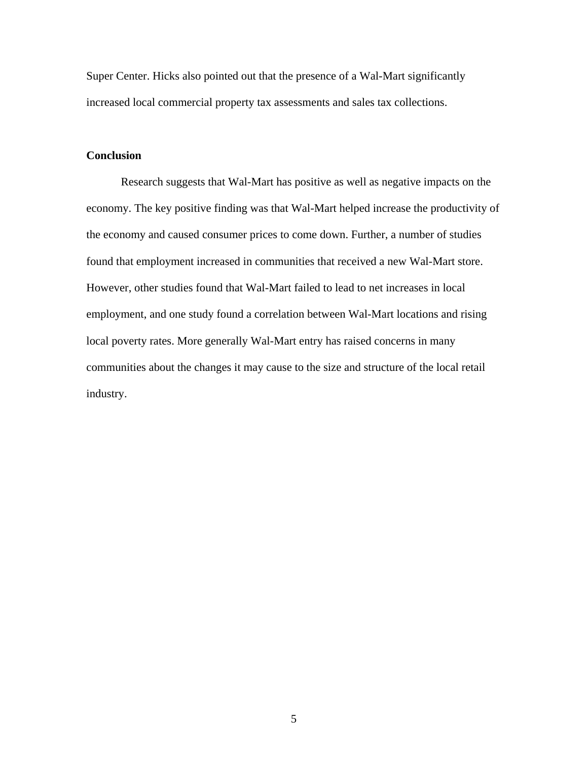Super Center. Hicks also pointed out that the presence of a Wal-Mart significantly increased local commercial property tax assessments and sales tax collections.

# **Conclusion**

Research suggests that Wal-Mart has positive as well as negative impacts on the economy. The key positive finding was that Wal-Mart helped increase the productivity of the economy and caused consumer prices to come down. Further, a number of studies found that employment increased in communities that received a new Wal-Mart store. However, other studies found that Wal-Mart failed to lead to net increases in local employment, and one study found a correlation between Wal-Mart locations and rising local poverty rates. More generally Wal-Mart entry has raised concerns in many communities about the changes it may cause to the size and structure of the local retail industry.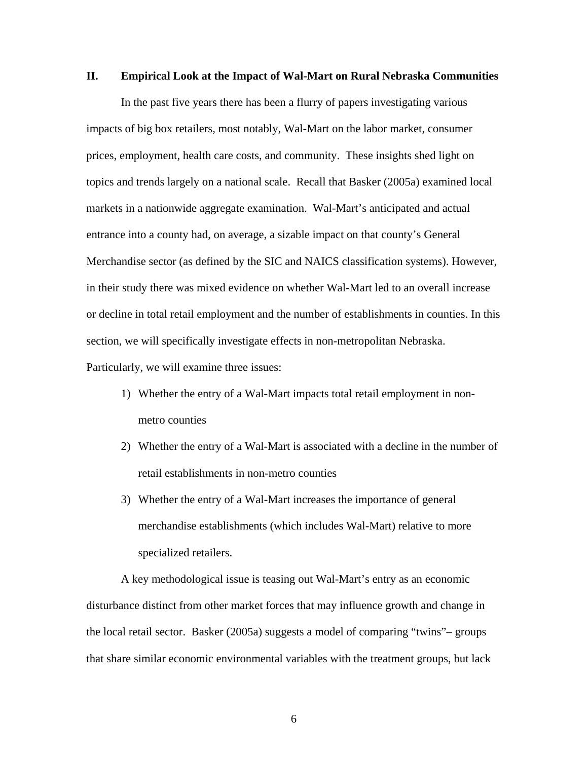### **II. Empirical Look at the Impact of Wal-Mart on Rural Nebraska Communities**

In the past five years there has been a flurry of papers investigating various impacts of big box retailers, most notably, Wal-Mart on the labor market, consumer prices, employment, health care costs, and community. These insights shed light on topics and trends largely on a national scale. Recall that Basker (2005a) examined local markets in a nationwide aggregate examination. Wal-Mart's anticipated and actual entrance into a county had, on average, a sizable impact on that county's General Merchandise sector (as defined by the SIC and NAICS classification systems). However, in their study there was mixed evidence on whether Wal-Mart led to an overall increase or decline in total retail employment and the number of establishments in counties. In this section, we will specifically investigate effects in non-metropolitan Nebraska. Particularly, we will examine three issues:

- 1) Whether the entry of a Wal-Mart impacts total retail employment in nonmetro counties
- 2) Whether the entry of a Wal-Mart is associated with a decline in the number of retail establishments in non-metro counties
- 3) Whether the entry of a Wal-Mart increases the importance of general merchandise establishments (which includes Wal-Mart) relative to more specialized retailers.

A key methodological issue is teasing out Wal-Mart's entry as an economic disturbance distinct from other market forces that may influence growth and change in the local retail sector. Basker (2005a) suggests a model of comparing "twins"– groups that share similar economic environmental variables with the treatment groups, but lack

 $\sim$  6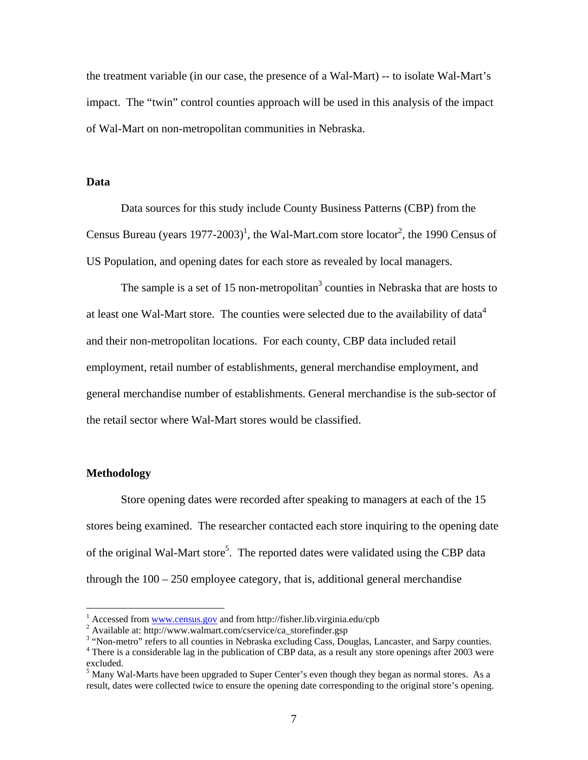the treatment variable (in our case, the presence of a Wal-Mart) -- to isolate Wal-Mart's impact. The "twin" control counties approach will be used in this analysis of the impact of Wal-Mart on non-metropolitan communities in Nebraska.

#### **Data**

Data sources for this study include County Business Patterns (CBP) from the Census Bureau (years  $1977$ -2003)<sup>1</sup>, the Wal-Mart.com store locator<sup>2</sup>, the 1990 Census of US Population, and opening dates for each store as revealed by local managers.

The sample is a set of 15 non-metropolitan<sup>3</sup> counties in Nebraska that are hosts to at least one Wal-Mart store. The counties were selected due to the availability of data<sup>4</sup> and their non-metropolitan locations. For each county, CBP data included retail employment, retail number of establishments, general merchandise employment, and general merchandise number of establishments. General merchandise is the sub-sector of the retail sector where Wal-Mart stores would be classified.

#### **Methodology**

 $\overline{a}$ 

Store opening dates were recorded after speaking to managers at each of the 15 stores being examined. The researcher contacted each store inquiring to the opening date of the original Wal-Mart store<sup>5</sup>. The reported dates were validated using the CBP data through the 100 – 250 employee category, that is, additional general merchandise

<sup>&</sup>lt;sup>1</sup> Accessed from <u>www.census.gov</u> and from http://fisher.lib.virginia.edu/cpb  $\frac{2}{3}$  Available at http://www.yuglmart.com/eservise/se.storafinder.gop

Available at: http://www.walmart.com/cservice/ca\_storefinder.gsp

 $3$  "Non-metro" refers to all counties in Nebraska excluding Cass, Douglas, Lancaster, and Sarpy counties.<br> $4$  There is a considerable lag in the publication of CBB data as a result any stere eponings ofter 2003 were

<sup>&</sup>lt;sup>4</sup> There is a considerable lag in the publication of CBP data, as a result any store openings after 2003 were excluded.

 $<sup>5</sup>$  Many Wal-Marts have been upgraded to Super Center's even though they began as normal stores. As a</sup> result, dates were collected twice to ensure the opening date corresponding to the original store's opening.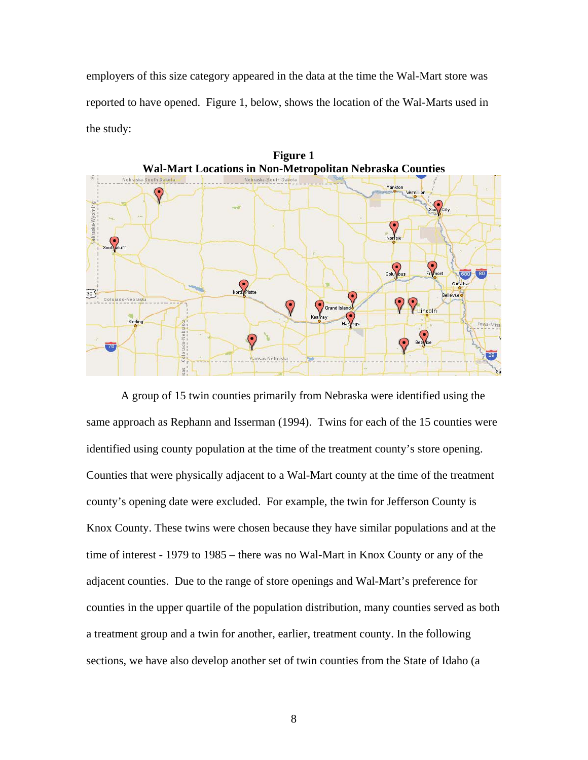employers of this size category appeared in the data at the time the Wal-Mart store was reported to have opened. Figure 1, below, shows the location of the Wal-Marts used in the study:



A group of 15 twin counties primarily from Nebraska were identified using the same approach as Rephann and Isserman (1994). Twins for each of the 15 counties were identified using county population at the time of the treatment county's store opening. Counties that were physically adjacent to a Wal-Mart county at the time of the treatment county's opening date were excluded. For example, the twin for Jefferson County is Knox County. These twins were chosen because they have similar populations and at the time of interest - 1979 to 1985 – there was no Wal-Mart in Knox County or any of the adjacent counties. Due to the range of store openings and Wal-Mart's preference for counties in the upper quartile of the population distribution, many counties served as both a treatment group and a twin for another, earlier, treatment county. In the following sections, we have also develop another set of twin counties from the State of Idaho (a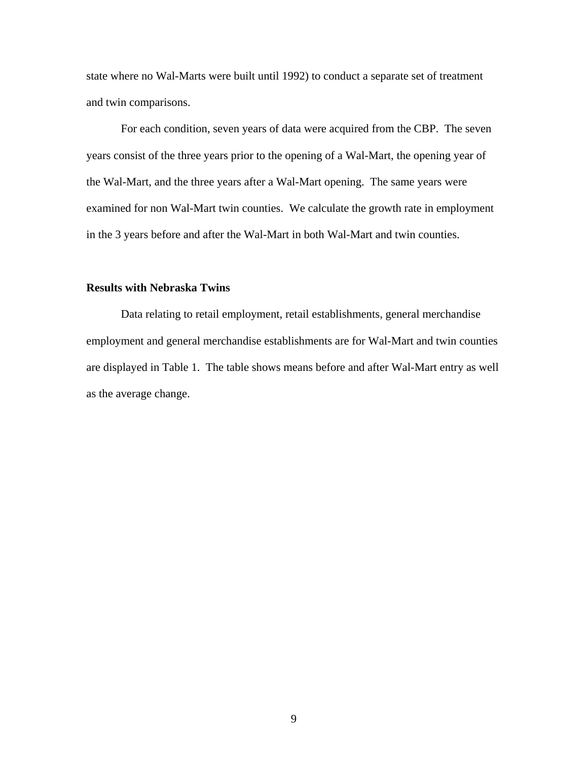state where no Wal-Marts were built until 1992) to conduct a separate set of treatment and twin comparisons.

For each condition, seven years of data were acquired from the CBP. The seven years consist of the three years prior to the opening of a Wal-Mart, the opening year of the Wal-Mart, and the three years after a Wal-Mart opening. The same years were examined for non Wal-Mart twin counties. We calculate the growth rate in employment in the 3 years before and after the Wal-Mart in both Wal-Mart and twin counties.

## **Results with Nebraska Twins**

Data relating to retail employment, retail establishments, general merchandise employment and general merchandise establishments are for Wal-Mart and twin counties are displayed in Table 1. The table shows means before and after Wal-Mart entry as well as the average change.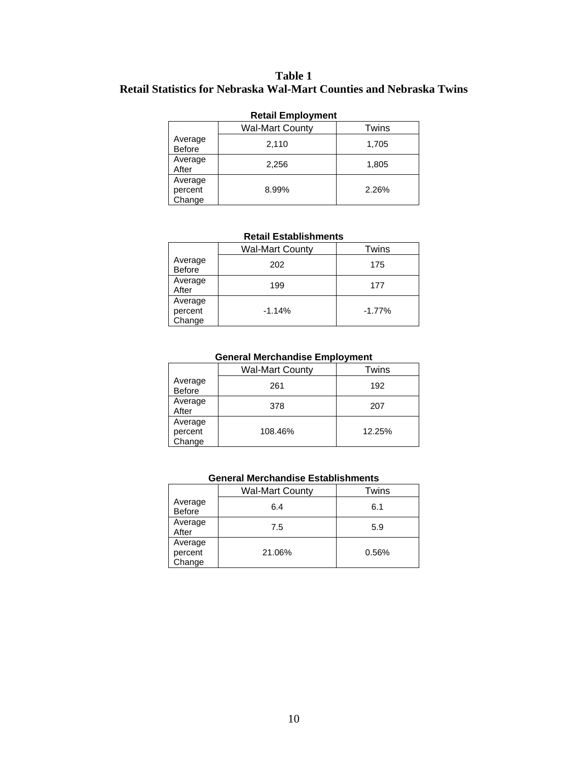# **Table 1 Retail Statistics for Nebraska Wal-Mart Counties and Nebraska Twins**

| Retail Employment               |       |       |  |  |  |
|---------------------------------|-------|-------|--|--|--|
| <b>Wal-Mart County</b><br>Twins |       |       |  |  |  |
| Average<br>Before               | 2,110 | 1,705 |  |  |  |
| Average<br>After                | 2,256 | 1,805 |  |  |  |
| Average<br>percent<br>Change    | 8.99% | 2.26% |  |  |  |

# **Retail Employment**

#### **Retail Establishments**

|                              | <b>Wal-Mart County</b> | Twins     |
|------------------------------|------------------------|-----------|
| Average<br>Before            | 202                    | 175       |
| Average<br>After             | 199                    | 177       |
| Average<br>percent<br>Change | $-1.14%$               | $-1.77\%$ |

# **General Merchandise Employment**

|                              | <b>Wal-Mart County</b> | Twins  |
|------------------------------|------------------------|--------|
| Average<br><b>Before</b>     | 261                    | 192    |
| Average<br>After             | 378                    | 207    |
| Average<br>percent<br>Change | 108.46%                | 12.25% |

#### **General Merchandise Establishments**

|                              | <b>Wal-Mart County</b> | Twins |
|------------------------------|------------------------|-------|
| Average<br><b>Before</b>     | 6.4                    | 6.1   |
| Average<br>After             | 7.5                    | 5.9   |
| Average<br>percent<br>Change | 21.06%                 | 0.56% |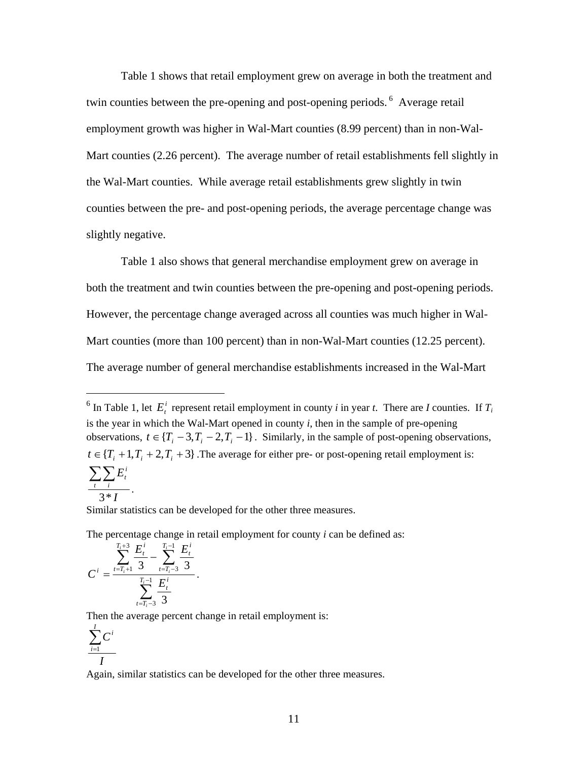Table 1 shows that retail employment grew on average in both the treatment and twin counties between the pre-opening and post-opening periods.<sup>6</sup> Average retail employment growth was higher in Wal-Mart counties (8.99 percent) than in non-Wal-Mart counties (2.26 percent). The average number of retail establishments fell slightly in the Wal-Mart counties. While average retail establishments grew slightly in twin counties between the pre- and post-opening periods, the average percentage change was slightly negative.

Table 1 also shows that general merchandise employment grew on average in both the treatment and twin counties between the pre-opening and post-opening periods. However, the percentage change averaged across all counties was much higher in Wal-Mart counties (more than 100 percent) than in non-Wal-Mart counties (12.25 percent). The average number of general merchandise establishments increased in the Wal-Mart

Similar statistics can be developed for the other three measures.

The percentage change in retail employment for county *i* can be defined as:

$$
C^{i} = \frac{\sum_{t=T_{i}+1}^{T_{i}+3} \frac{E_{t}^{i}}{3} - \sum_{t=T_{i}-3}^{T_{i}-1} \frac{E_{t}^{i}}{3}}{\sum_{t=T_{i}-3}^{T_{i}-1} \frac{E_{t}^{i}}{3}}.
$$

Then the average percent change in retail employment is:

$$
\frac{\sum\limits_{i=1}^{I} C^i}{I}
$$

 $\overline{a}$ 

Again, similar statistics can be developed for the other three measures.

<sup>&</sup>lt;sup>6</sup> In Table 1, let  $E_i^i$  represent retail employment in county *i* in year *t*. There are *I* counties. If  $T_i$ is the year in which the Wal-Mart opened in county *i*, then in the sample of pre-opening observations,  $t \in \{T_i - 3, T_i - 2, T_i - 1\}$ . Similarly, in the sample of post-opening observations,  $t \in \{T_i + 1, T_i + 2, T_i + 3\}$ . The average for either pre- or post-opening retail employment is: *I E t i i t* 3\* ∑∑ .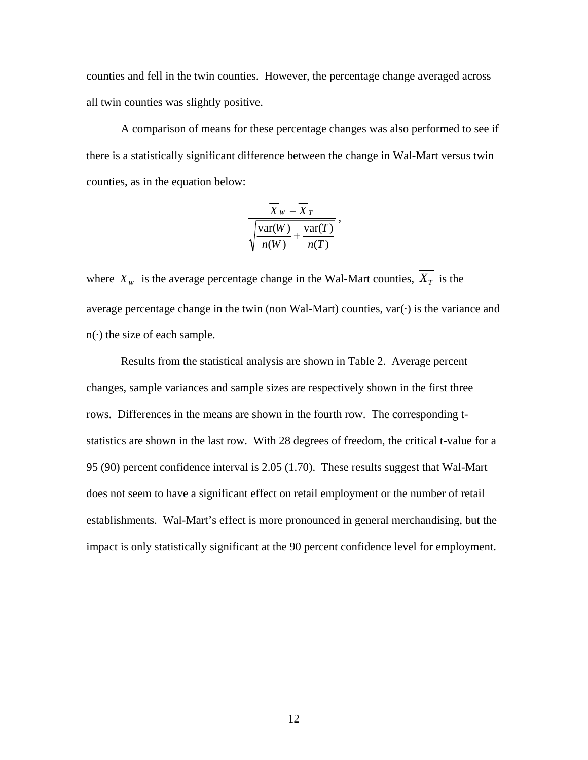counties and fell in the twin counties. However, the percentage change averaged across all twin counties was slightly positive.

A comparison of means for these percentage changes was also performed to see if there is a statistically significant difference between the change in Wal-Mart versus twin counties, as in the equation below:

$$
\frac{\overline{X}_{W} - \overline{X}_{T}}{\sqrt{\frac{\text{var}(W)}{n(W)} + \frac{\text{var}(T)}{n(T)}}},
$$

where  $\overline{X_{w}}$  is the average percentage change in the Wal-Mart counties,  $\overline{X_{T}}$  is the average percentage change in the twin (non Wal-Mart) counties,  $var(\cdot)$  is the variance and  $n(\cdot)$  the size of each sample.

Results from the statistical analysis are shown in Table 2. Average percent changes, sample variances and sample sizes are respectively shown in the first three rows. Differences in the means are shown in the fourth row. The corresponding tstatistics are shown in the last row. With 28 degrees of freedom, the critical t-value for a 95 (90) percent confidence interval is 2.05 (1.70). These results suggest that Wal-Mart does not seem to have a significant effect on retail employment or the number of retail establishments. Wal-Mart's effect is more pronounced in general merchandising, but the impact is only statistically significant at the 90 percent confidence level for employment.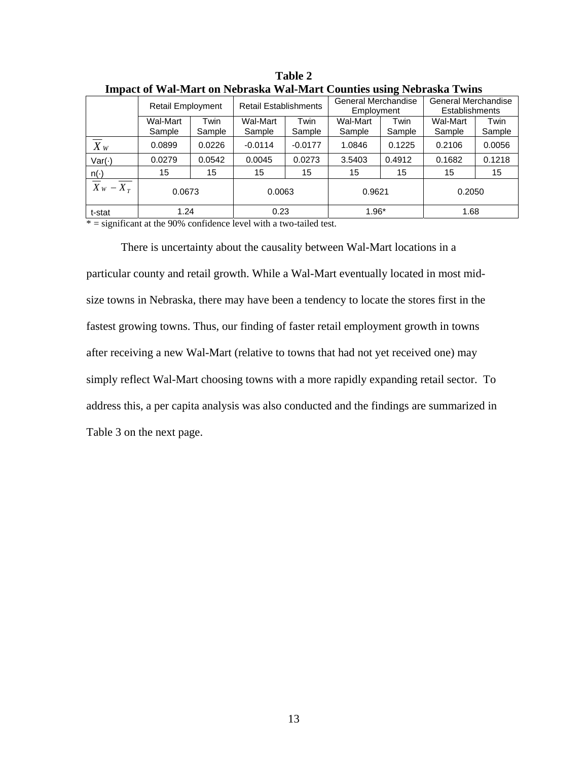|                                   |                          |                | <b>Retail Establishments</b> |                | General Merchandise |                | General Merchandise   |                |
|-----------------------------------|--------------------------|----------------|------------------------------|----------------|---------------------|----------------|-----------------------|----------------|
|                                   | <b>Retail Employment</b> |                |                              |                | Employment          |                | <b>Establishments</b> |                |
|                                   | Wal-Mart<br>Sample       | Twin<br>Sample | Wal-Mart<br>Sample           | Twin<br>Sample | Wal-Mart<br>Sample  | Twin<br>Sample | Wal-Mart<br>Sample    | Twin<br>Sample |
| $X_{W}$                           | 0.0899                   | 0.0226         | $-0.0114$                    | $-0.0177$      | 1.0846              | 0.1225         | 0.2106                | 0.0056         |
| $Var(\cdot)$                      | 0.0279                   | 0.0542         | 0.0045                       | 0.0273         | 3.5403              | 0.4912         | 0.1682                | 0.1218         |
| $n(\cdot)$                        | 15                       | 15             | 15                           | 15             | 15                  | 15             | 15                    | 15             |
| $\overline{X}$ w – $\overline{X}$ | 0.0673                   |                | 0.0063                       |                | 0.9621              |                | 0.2050                |                |
| t-stat                            | 1.24                     |                | 0.23                         |                | $1.96*$             |                | 1.68                  |                |

**Table 2 Impact of Wal-Mart on Nebraska Wal-Mart Counties using Nebraska Twins** 

 $* =$  significant at the 90% confidence level with a two-tailed test.

There is uncertainty about the causality between Wal-Mart locations in a particular county and retail growth. While a Wal-Mart eventually located in most midsize towns in Nebraska, there may have been a tendency to locate the stores first in the fastest growing towns. Thus, our finding of faster retail employment growth in towns after receiving a new Wal-Mart (relative to towns that had not yet received one) may simply reflect Wal-Mart choosing towns with a more rapidly expanding retail sector. To address this, a per capita analysis was also conducted and the findings are summarized in Table 3 on the next page.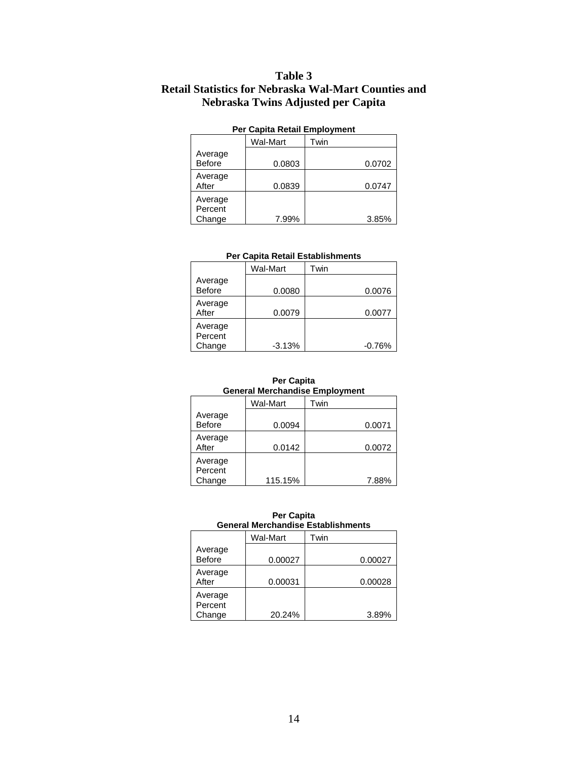# **Table 3 Retail Statistics for Nebraska Wal-Mart Counties and Nebraska Twins Adjusted per Capita**

| Fel Capita Retail Ellipiogliterit |          |      |        |  |  |
|-----------------------------------|----------|------|--------|--|--|
|                                   | Wal-Mart | Twin |        |  |  |
| Average<br><b>Before</b>          | 0.0803   |      | 0.0702 |  |  |
| Average<br>After                  | 0.0839   |      | 0.0747 |  |  |
| Average<br>Percent<br>Change      | 7.99%    |      | 3.85%  |  |  |

#### **Per Capita Retail Employment**

#### **Per Capita Retail Establishments**

|                              | Wal-Mart | Twin     |
|------------------------------|----------|----------|
| Average<br><b>Before</b>     | 0.0080   | 0.0076   |
| Average<br>After             | 0.0079   | 0.0077   |
| Average<br>Percent<br>Change | $-3.13%$ | $-0.76%$ |

#### **Per Capita General Merchandise Employment**

|                              | Wal-Mart | Twin   |
|------------------------------|----------|--------|
| Average<br><b>Before</b>     | 0.0094   | 0.0071 |
| Average<br>After             | 0.0142   | 0.0072 |
| Average<br>Percent<br>Change | 115.15%  | 7.88%  |

#### **Per Capita General Merchandise Establishments**

|                              | Wal-Mart | Twin    |
|------------------------------|----------|---------|
| Average<br><b>Before</b>     | 0.00027  | 0.00027 |
| Average<br>After             | 0.00031  | 0.00028 |
| Average<br>Percent<br>Change | 20.24%   | 3.89%   |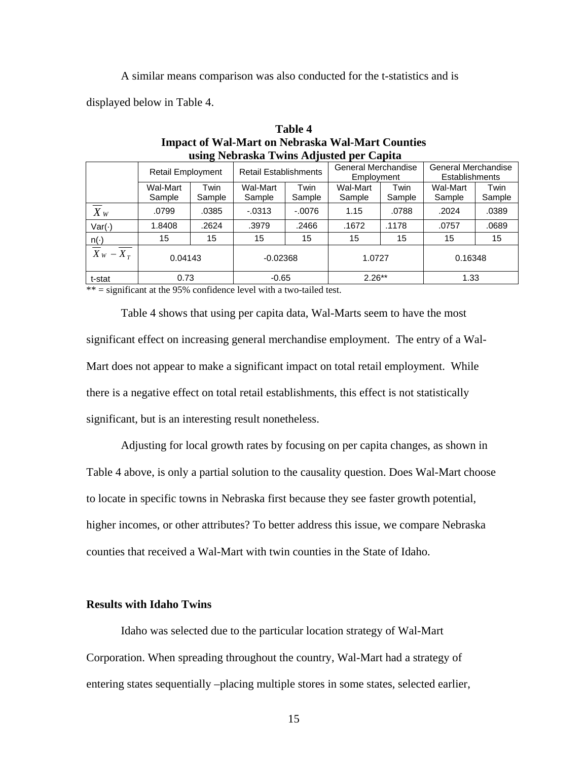A similar means comparison was also conducted for the t-statistics and is

displayed below in Table 4.

| using Nedraska 1 wins Adjusted per Capita          |                          |                |                    |                                                                                                                   |                    |                |                    |                |
|----------------------------------------------------|--------------------------|----------------|--------------------|-------------------------------------------------------------------------------------------------------------------|--------------------|----------------|--------------------|----------------|
|                                                    | <b>Retail Employment</b> |                |                    | General Merchandise<br>General Merchandise<br><b>Retail Establishments</b><br><b>Establishments</b><br>Employment |                    |                |                    |                |
|                                                    | Wal-Mart<br>Sample       | Twin<br>Sample | Wal-Mart<br>Sample | Twin<br>Sample                                                                                                    | Wal-Mart<br>Sample | Twin<br>Sample | Wal-Mart<br>Sample | Twin<br>Sample |
| $X_{W}$                                            | .0799                    | .0385          | $-0.0313$          | $-.0076$                                                                                                          | 1.15               | .0788          | .2024              | .0389          |
| Var(·)                                             | 1.8408                   | .2624          | .3979              | .2466                                                                                                             | .1672              | .1178          | .0757              | .0689          |
|                                                    | 15                       | 15             | 15                 | 15                                                                                                                | 15                 | 15             | 15                 | 15             |
| $\frac{n(\cdot)}{\overline{X}_W - \overline{X}_T}$ | 0.04143                  |                | $-0.02368$         |                                                                                                                   | 1.0727             |                | 0.16348            |                |
| t-stat                                             | 0.73                     |                | $-0.65$            |                                                                                                                   | $2.26**$           |                | 1.33               |                |

**Table 4 Impact of Wal-Mart on Nebraska Wal-Mart Counties using Nebraska Twins Adjusted per Capita** 

 $**$  = significant at the 95% confidence level with a two-tailed test.

Table 4 shows that using per capita data, Wal-Marts seem to have the most significant effect on increasing general merchandise employment. The entry of a Wal-Mart does not appear to make a significant impact on total retail employment. While there is a negative effect on total retail establishments, this effect is not statistically significant, but is an interesting result nonetheless.

Adjusting for local growth rates by focusing on per capita changes, as shown in Table 4 above, is only a partial solution to the causality question. Does Wal-Mart choose to locate in specific towns in Nebraska first because they see faster growth potential, higher incomes, or other attributes? To better address this issue, we compare Nebraska counties that received a Wal-Mart with twin counties in the State of Idaho.

### **Results with Idaho Twins**

Idaho was selected due to the particular location strategy of Wal-Mart Corporation. When spreading throughout the country, Wal-Mart had a strategy of entering states sequentially –placing multiple stores in some states, selected earlier,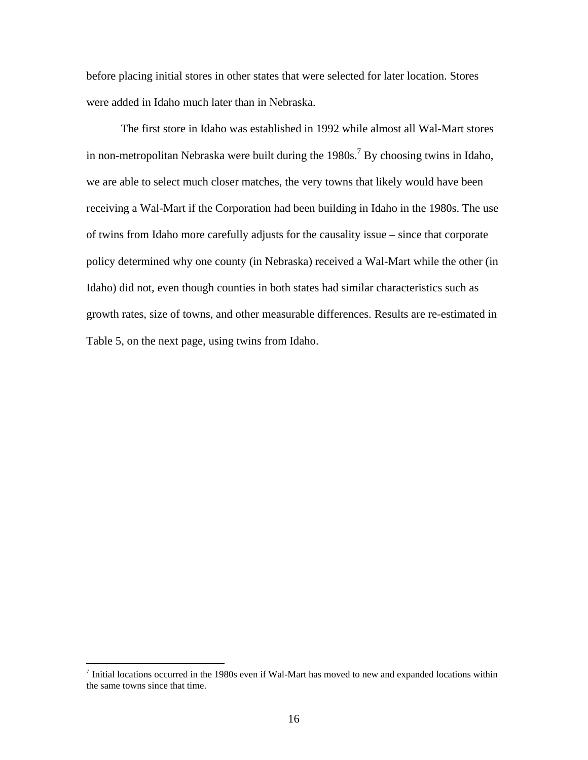before placing initial stores in other states that were selected for later location. Stores were added in Idaho much later than in Nebraska.

The first store in Idaho was established in 1992 while almost all Wal-Mart stores in non-metropolitan Nebraska were built during the  $1980s$ .<sup>7</sup> By choosing twins in Idaho, we are able to select much closer matches, the very towns that likely would have been receiving a Wal-Mart if the Corporation had been building in Idaho in the 1980s. The use of twins from Idaho more carefully adjusts for the causality issue – since that corporate policy determined why one county (in Nebraska) received a Wal-Mart while the other (in Idaho) did not, even though counties in both states had similar characteristics such as growth rates, size of towns, and other measurable differences. Results are re-estimated in Table 5, on the next page, using twins from Idaho.

Thitial locations occurred in the 1980s even if Wal-Mart has moved to new and expanded locations within the same towns since that time.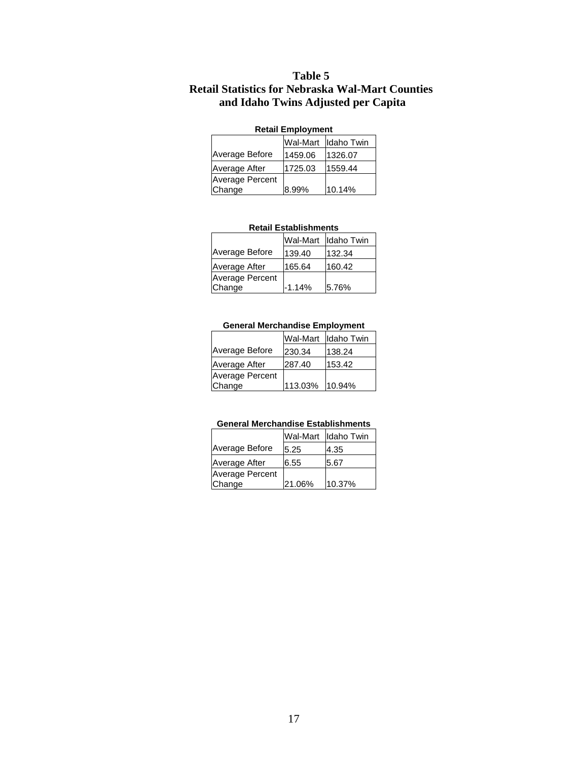# **Table 5 Retail Statistics for Nebraska Wal-Mart Counties and Idaho Twins Adjusted per Capita**

#### **Retail Employment**

|                 | Wal-Mart | Ildaho Twin |
|-----------------|----------|-------------|
| Average Before  | 1459.06  | 1326.07     |
| Average After   | 1725.03  | 1559.44     |
| Average Percent |          |             |
| Change          | 8.99%    | 10.14%      |

#### **Retail Establishments**

|                                  |          | Wal-Mart Idaho Twin |
|----------------------------------|----------|---------------------|
| Average Before                   | 139.40   | 132.34              |
| Average After                    | 165.64   | 160.42              |
| <b>Average Percent</b><br>Change | $-1.14%$ | 5.76%               |

#### **General Merchandise Employment**

|                        |                | Wal-Mart Idaho Twin |
|------------------------|----------------|---------------------|
| Average Before         | 230.34         | 138.24              |
| Average After          | 287.40         | 153.42              |
| <b>Average Percent</b> |                |                     |
| Change                 | 113.03% 10.94% |                     |

#### **General Merchandise Establishments**

|                        | Wal-Mart | Idaho Twin |
|------------------------|----------|------------|
| Average Before         | 5.25     | 4.35       |
| Average After          | 6.55     | 5.67       |
| <b>Average Percent</b> |          |            |
| Change                 | 21.06%   | 10.37%     |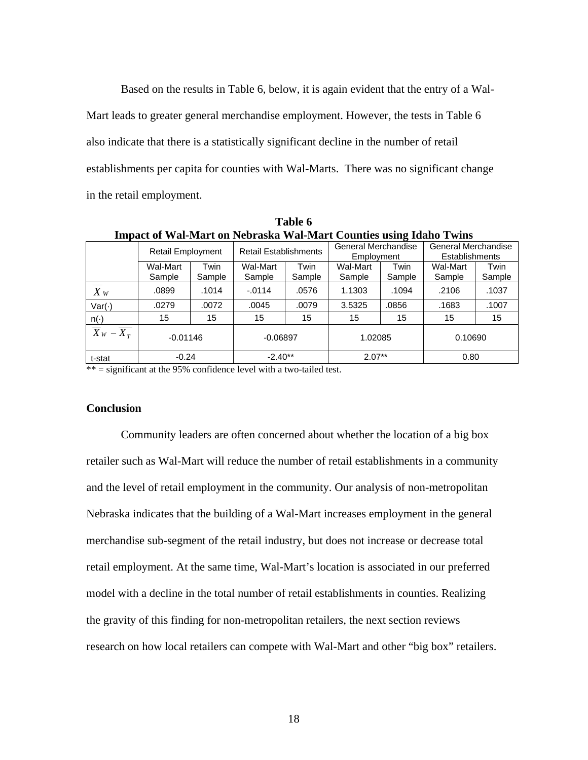Based on the results in Table 6, below, it is again evident that the entry of a Wal-Mart leads to greater general merchandise employment. However, the tests in Table 6 also indicate that there is a statistically significant decline in the number of retail establishments per capita for counties with Wal-Marts. There was no significant change in the retail employment.

| <b>Impact of Wal-Mart on Nebraska Wal-Mart Counties using Idaho Twins</b> |                          |                |                              |                |                                   |                |                                                     |                |
|---------------------------------------------------------------------------|--------------------------|----------------|------------------------------|----------------|-----------------------------------|----------------|-----------------------------------------------------|----------------|
|                                                                           | <b>Retail Employment</b> |                | <b>Retail Establishments</b> |                | General Merchandise<br>Employment |                | <b>General Merchandise</b><br><b>Establishments</b> |                |
|                                                                           | Wal-Mart<br>Sample       | Twin<br>Sample | Wal-Mart<br>Sample           | Twin<br>Sample | Wal-Mart<br>Sample                | Twin<br>Sample | <b>Wal-Mart</b><br>Sample                           | Twin<br>Sample |
| $\overline{X}_W$                                                          | .0899                    | .1014          | $-0.0114$                    | .0576          | 1.1303                            | .1094          | .2106                                               | .1037          |
| Var(·)                                                                    | .0279                    | .0072          | .0045                        | .0079          | 3.5325                            | .0856          | .1683                                               | .1007          |
|                                                                           | 15                       | 15             | 15                           | 15             | 15                                | 15             | 15                                                  | 15             |
| $\frac{n(\cdot)}{\overline{X}_W - \overline{X}_T}$                        | $-0.01146$               |                | $-0.06897$                   |                | 1.02085                           |                | 0.10690                                             |                |
| t-stat                                                                    | $-0.24$                  |                | $-2.40**$                    |                | $2.07**$<br>0.80                  |                |                                                     |                |

**Table 6** 

\*\* = significant at the 95% confidence level with a two-tailed test.

## **Conclusion**

Community leaders are often concerned about whether the location of a big box retailer such as Wal-Mart will reduce the number of retail establishments in a community and the level of retail employment in the community. Our analysis of non-metropolitan Nebraska indicates that the building of a Wal-Mart increases employment in the general merchandise sub-segment of the retail industry, but does not increase or decrease total retail employment. At the same time, Wal-Mart's location is associated in our preferred model with a decline in the total number of retail establishments in counties. Realizing the gravity of this finding for non-metropolitan retailers, the next section reviews research on how local retailers can compete with Wal-Mart and other "big box" retailers.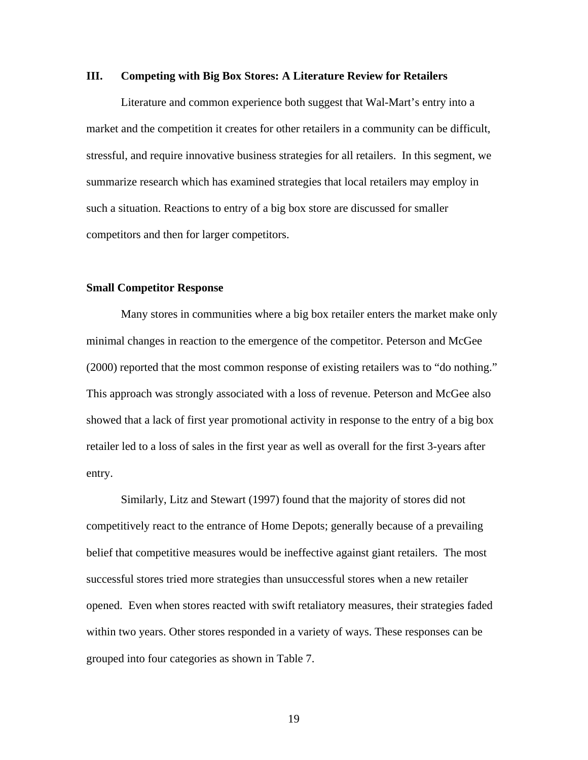#### **III. Competing with Big Box Stores: A Literature Review for Retailers**

Literature and common experience both suggest that Wal-Mart's entry into a market and the competition it creates for other retailers in a community can be difficult, stressful, and require innovative business strategies for all retailers. In this segment, we summarize research which has examined strategies that local retailers may employ in such a situation. Reactions to entry of a big box store are discussed for smaller competitors and then for larger competitors.

#### **Small Competitor Response**

Many stores in communities where a big box retailer enters the market make only minimal changes in reaction to the emergence of the competitor. Peterson and McGee (2000) reported that the most common response of existing retailers was to "do nothing." This approach was strongly associated with a loss of revenue. Peterson and McGee also showed that a lack of first year promotional activity in response to the entry of a big box retailer led to a loss of sales in the first year as well as overall for the first 3-years after entry.

Similarly, Litz and Stewart (1997) found that the majority of stores did not competitively react to the entrance of Home Depots; generally because of a prevailing belief that competitive measures would be ineffective against giant retailers. The most successful stores tried more strategies than unsuccessful stores when a new retailer opened. Even when stores reacted with swift retaliatory measures, their strategies faded within two years. Other stores responded in a variety of ways. These responses can be grouped into four categories as shown in Table 7.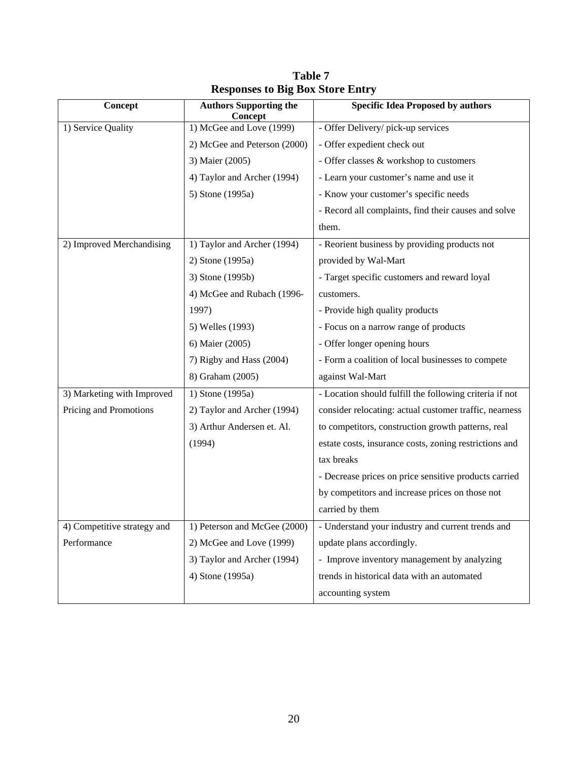| Concept                     | <b>Authors Supporting the</b><br>Concept | <b>Specific Idea Proposed by authors</b>                |
|-----------------------------|------------------------------------------|---------------------------------------------------------|
| 1) Service Quality          | 1) McGee and Love (1999)                 | - Offer Delivery/ pick-up services                      |
|                             | 2) McGee and Peterson (2000)             | - Offer expedient check out                             |
|                             | 3) Maier (2005)                          | - Offer classes & workshop to customers                 |
|                             | 4) Taylor and Archer (1994)              | - Learn your customer's name and use it                 |
|                             | 5) Stone (1995a)                         | - Know your customer's specific needs                   |
|                             |                                          | - Record all complaints, find their causes and solve    |
|                             |                                          | them.                                                   |
| 2) Improved Merchandising   | 1) Taylor and Archer (1994)              | - Reorient business by providing products not           |
|                             | 2) Stone (1995a)                         | provided by Wal-Mart                                    |
|                             | 3) Stone (1995b)                         | - Target specific customers and reward loyal            |
|                             | 4) McGee and Rubach (1996-               | customers.                                              |
|                             | 1997)                                    | - Provide high quality products                         |
|                             | 5) Welles (1993)                         | - Focus on a narrow range of products                   |
|                             | 6) Maier (2005)                          | - Offer longer opening hours                            |
|                             | 7) Rigby and Hass (2004)                 | - Form a coalition of local businesses to compete       |
|                             | 8) Graham (2005)                         | against Wal-Mart                                        |
| 3) Marketing with Improved  | 1) Stone (1995a)                         | - Location should fulfill the following criteria if not |
| Pricing and Promotions      | 2) Taylor and Archer (1994)              | consider relocating: actual customer traffic, nearness  |
|                             | 3) Arthur Andersen et. Al.               | to competitors, construction growth patterns, real      |
|                             | (1994)                                   | estate costs, insurance costs, zoning restrictions and  |
|                             |                                          | tax breaks                                              |
|                             |                                          | - Decrease prices on price sensitive products carried   |
|                             |                                          | by competitors and increase prices on those not         |
|                             |                                          | carried by them                                         |
| 4) Competitive strategy and | 1) Peterson and McGee (2000)             | - Understand your industry and current trends and       |
| Performance                 | 2) McGee and Love (1999)                 | update plans accordingly.                               |
|                             | 3) Taylor and Archer (1994)              | - Improve inventory management by analyzing             |
|                             | 4) Stone (1995a)                         | trends in historical data with an automated             |
|                             |                                          | accounting system                                       |

**Table 7 Responses to Big Box Store Entry**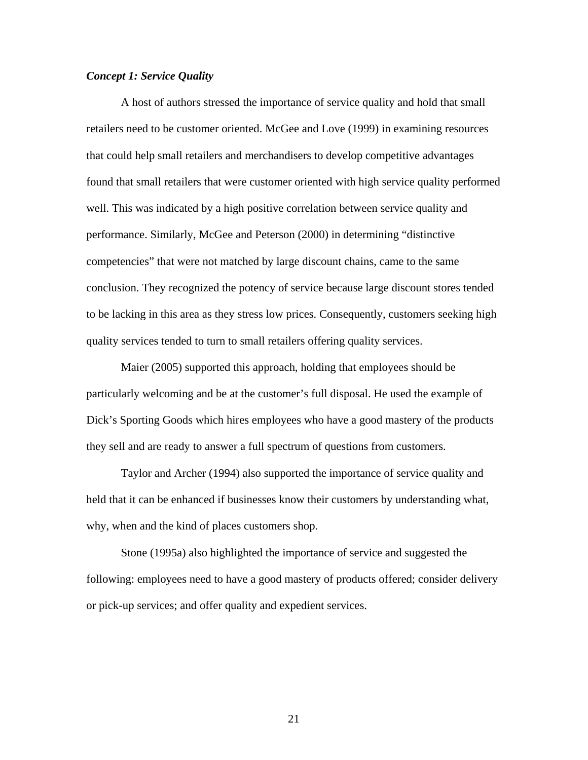## *Concept 1: Service Quality*

A host of authors stressed the importance of service quality and hold that small retailers need to be customer oriented. McGee and Love (1999) in examining resources that could help small retailers and merchandisers to develop competitive advantages found that small retailers that were customer oriented with high service quality performed well. This was indicated by a high positive correlation between service quality and performance. Similarly, McGee and Peterson (2000) in determining "distinctive competencies" that were not matched by large discount chains, came to the same conclusion. They recognized the potency of service because large discount stores tended to be lacking in this area as they stress low prices. Consequently, customers seeking high quality services tended to turn to small retailers offering quality services.

Maier (2005) supported this approach, holding that employees should be particularly welcoming and be at the customer's full disposal. He used the example of Dick's Sporting Goods which hires employees who have a good mastery of the products they sell and are ready to answer a full spectrum of questions from customers.

Taylor and Archer (1994) also supported the importance of service quality and held that it can be enhanced if businesses know their customers by understanding what, why, when and the kind of places customers shop.

Stone (1995a) also highlighted the importance of service and suggested the following: employees need to have a good mastery of products offered; consider delivery or pick-up services; and offer quality and expedient services.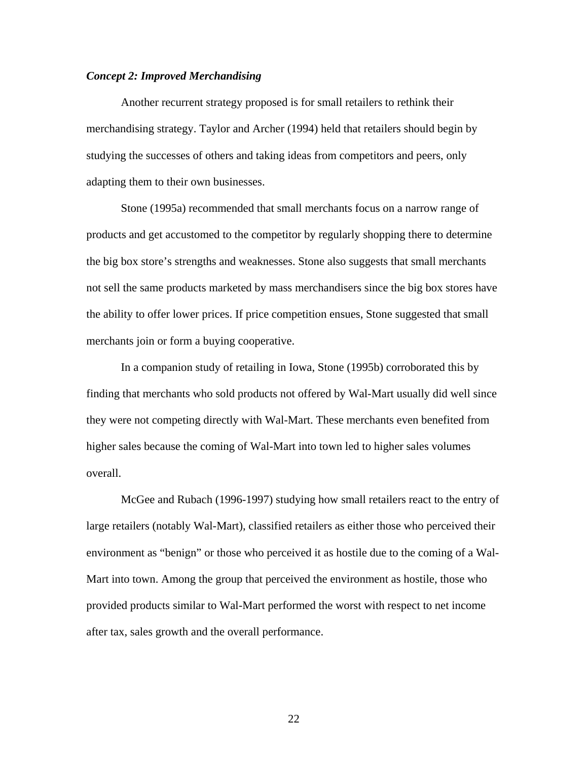# *Concept 2: Improved Merchandising*

Another recurrent strategy proposed is for small retailers to rethink their merchandising strategy. Taylor and Archer (1994) held that retailers should begin by studying the successes of others and taking ideas from competitors and peers, only adapting them to their own businesses.

Stone (1995a) recommended that small merchants focus on a narrow range of products and get accustomed to the competitor by regularly shopping there to determine the big box store's strengths and weaknesses. Stone also suggests that small merchants not sell the same products marketed by mass merchandisers since the big box stores have the ability to offer lower prices. If price competition ensues, Stone suggested that small merchants join or form a buying cooperative.

In a companion study of retailing in Iowa, Stone (1995b) corroborated this by finding that merchants who sold products not offered by Wal-Mart usually did well since they were not competing directly with Wal-Mart. These merchants even benefited from higher sales because the coming of Wal-Mart into town led to higher sales volumes overall.

McGee and Rubach (1996-1997) studying how small retailers react to the entry of large retailers (notably Wal-Mart), classified retailers as either those who perceived their environment as "benign" or those who perceived it as hostile due to the coming of a Wal-Mart into town. Among the group that perceived the environment as hostile, those who provided products similar to Wal-Mart performed the worst with respect to net income after tax, sales growth and the overall performance.

<u>22</u>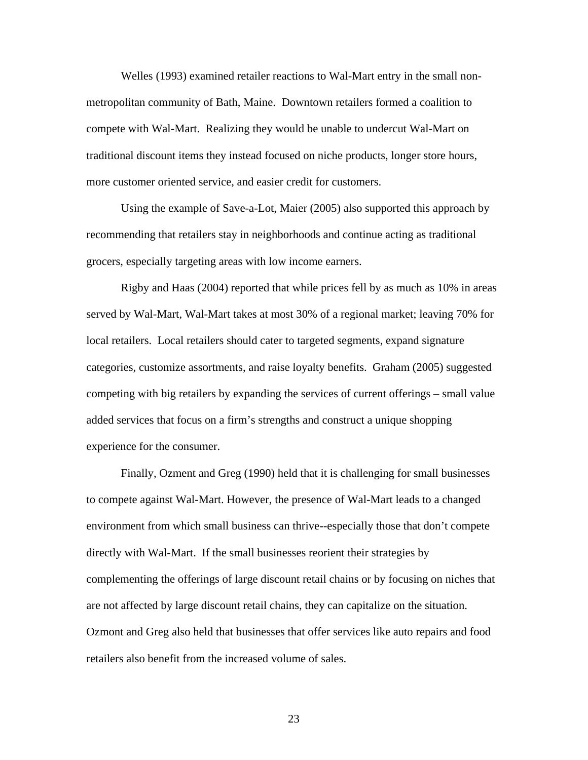Welles (1993) examined retailer reactions to Wal-Mart entry in the small nonmetropolitan community of Bath, Maine. Downtown retailers formed a coalition to compete with Wal-Mart. Realizing they would be unable to undercut Wal-Mart on traditional discount items they instead focused on niche products, longer store hours, more customer oriented service, and easier credit for customers.

Using the example of Save-a-Lot, Maier (2005) also supported this approach by recommending that retailers stay in neighborhoods and continue acting as traditional grocers, especially targeting areas with low income earners.

Rigby and Haas (2004) reported that while prices fell by as much as 10% in areas served by Wal-Mart, Wal-Mart takes at most 30% of a regional market; leaving 70% for local retailers. Local retailers should cater to targeted segments, expand signature categories, customize assortments, and raise loyalty benefits. Graham (2005) suggested competing with big retailers by expanding the services of current offerings – small value added services that focus on a firm's strengths and construct a unique shopping experience for the consumer.

Finally, Ozment and Greg (1990) held that it is challenging for small businesses to compete against Wal-Mart. However, the presence of Wal-Mart leads to a changed environment from which small business can thrive--especially those that don't compete directly with Wal-Mart. If the small businesses reorient their strategies by complementing the offerings of large discount retail chains or by focusing on niches that are not affected by large discount retail chains, they can capitalize on the situation. Ozmont and Greg also held that businesses that offer services like auto repairs and food retailers also benefit from the increased volume of sales.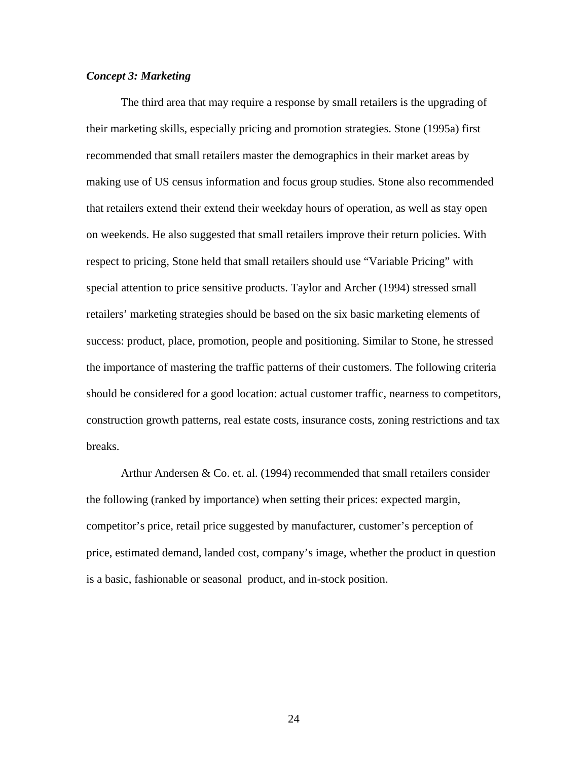## *Concept 3: Marketing*

The third area that may require a response by small retailers is the upgrading of their marketing skills, especially pricing and promotion strategies. Stone (1995a) first recommended that small retailers master the demographics in their market areas by making use of US census information and focus group studies. Stone also recommended that retailers extend their extend their weekday hours of operation, as well as stay open on weekends. He also suggested that small retailers improve their return policies. With respect to pricing, Stone held that small retailers should use "Variable Pricing" with special attention to price sensitive products. Taylor and Archer (1994) stressed small retailers' marketing strategies should be based on the six basic marketing elements of success: product, place, promotion, people and positioning. Similar to Stone, he stressed the importance of mastering the traffic patterns of their customers. The following criteria should be considered for a good location: actual customer traffic, nearness to competitors, construction growth patterns, real estate costs, insurance costs, zoning restrictions and tax breaks.

Arthur Andersen & Co. et. al. (1994) recommended that small retailers consider the following (ranked by importance) when setting their prices: expected margin, competitor's price, retail price suggested by manufacturer, customer's perception of price, estimated demand, landed cost, company's image, whether the product in question is a basic, fashionable or seasonal product, and in-stock position.

24 and 24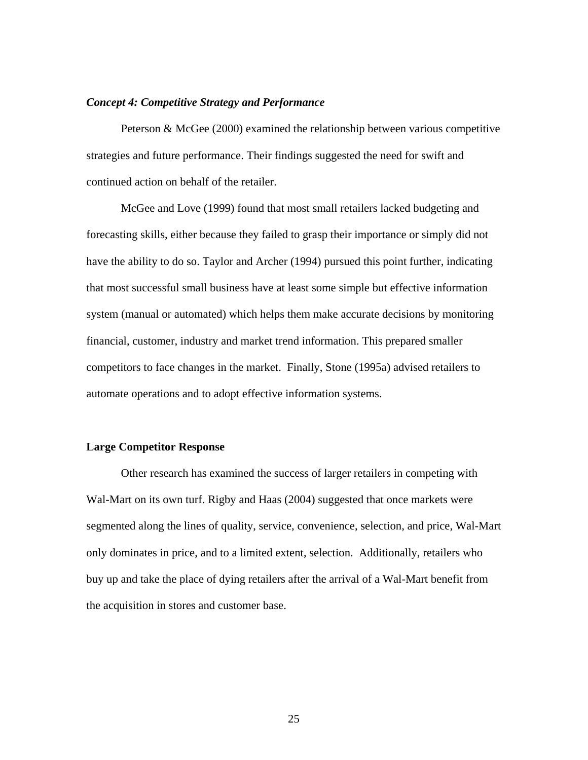#### *Concept 4: Competitive Strategy and Performance*

Peterson & McGee (2000) examined the relationship between various competitive strategies and future performance. Their findings suggested the need for swift and continued action on behalf of the retailer.

McGee and Love (1999) found that most small retailers lacked budgeting and forecasting skills, either because they failed to grasp their importance or simply did not have the ability to do so. Taylor and Archer (1994) pursued this point further, indicating that most successful small business have at least some simple but effective information system (manual or automated) which helps them make accurate decisions by monitoring financial, customer, industry and market trend information. This prepared smaller competitors to face changes in the market. Finally, Stone (1995a) advised retailers to automate operations and to adopt effective information systems.

#### **Large Competitor Response**

Other research has examined the success of larger retailers in competing with Wal-Mart on its own turf. Rigby and Haas (2004) suggested that once markets were segmented along the lines of quality, service, convenience, selection, and price, Wal-Mart only dominates in price, and to a limited extent, selection. Additionally, retailers who buy up and take the place of dying retailers after the arrival of a Wal-Mart benefit from the acquisition in stores and customer base.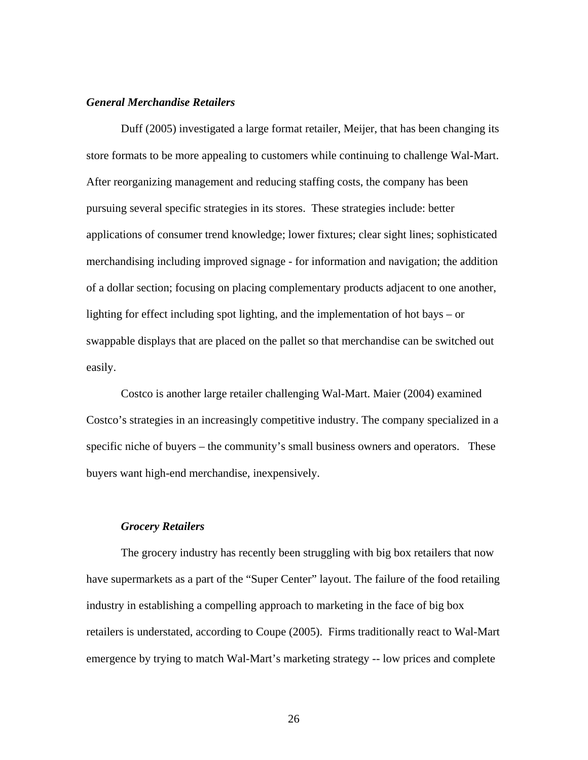#### *General Merchandise Retailers*

Duff (2005) investigated a large format retailer, Meijer, that has been changing its store formats to be more appealing to customers while continuing to challenge Wal-Mart. After reorganizing management and reducing staffing costs, the company has been pursuing several specific strategies in its stores. These strategies include: better applications of consumer trend knowledge; lower fixtures; clear sight lines; sophisticated merchandising including improved signage - for information and navigation; the addition of a dollar section; focusing on placing complementary products adjacent to one another, lighting for effect including spot lighting, and the implementation of hot bays – or swappable displays that are placed on the pallet so that merchandise can be switched out easily.

Costco is another large retailer challenging Wal-Mart. Maier (2004) examined Costco's strategies in an increasingly competitive industry. The company specialized in a specific niche of buyers – the community's small business owners and operators. These buyers want high-end merchandise, inexpensively.

#### *Grocery Retailers*

The grocery industry has recently been struggling with big box retailers that now have supermarkets as a part of the "Super Center" layout. The failure of the food retailing industry in establishing a compelling approach to marketing in the face of big box retailers is understated, according to Coupe (2005). Firms traditionally react to Wal-Mart emergence by trying to match Wal-Mart's marketing strategy -- low prices and complete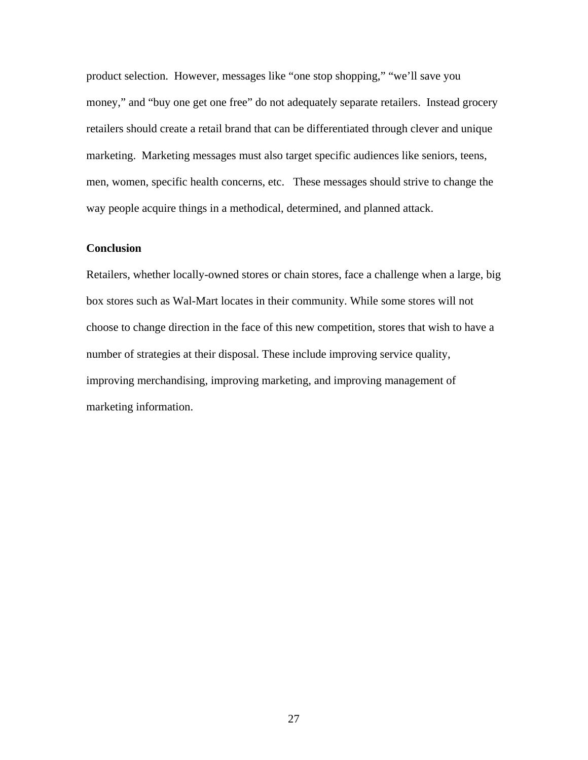product selection. However, messages like "one stop shopping," "we'll save you money," and "buy one get one free" do not adequately separate retailers. Instead grocery retailers should create a retail brand that can be differentiated through clever and unique marketing. Marketing messages must also target specific audiences like seniors, teens, men, women, specific health concerns, etc. These messages should strive to change the way people acquire things in a methodical, determined, and planned attack.

# **Conclusion**

Retailers, whether locally-owned stores or chain stores, face a challenge when a large, big box stores such as Wal-Mart locates in their community. While some stores will not choose to change direction in the face of this new competition, stores that wish to have a number of strategies at their disposal. These include improving service quality, improving merchandising, improving marketing, and improving management of marketing information.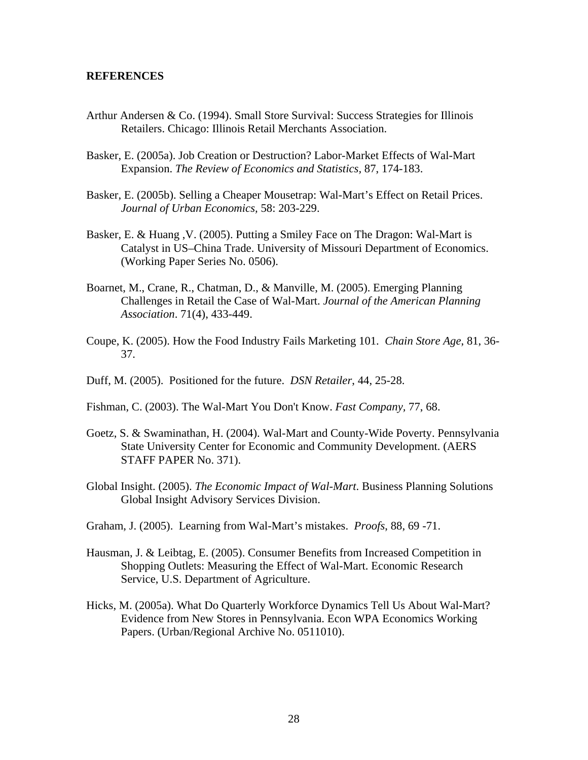#### **REFERENCES**

- Arthur Andersen & Co. (1994). Small Store Survival: Success Strategies for Illinois Retailers. Chicago: Illinois Retail Merchants Association.
- Basker, E. (2005a). Job Creation or Destruction? Labor-Market Effects of Wal-Mart Expansion. *The Review of Economics and Statistics,* 87, 174-183.
- Basker, E. (2005b). Selling a Cheaper Mousetrap: Wal-Mart's Effect on Retail Prices. *Journal of Urban Economics,* 58: 203-229.
- Basker, E. & Huang ,V. (2005). Putting a Smiley Face on The Dragon: Wal-Mart is Catalyst in US–China Trade. University of Missouri Department of Economics. (Working Paper Series No. 0506).
- Boarnet, M., Crane, R., Chatman, D., & Manville, M. (2005). Emerging Planning Challenges in Retail the Case of Wal-Mart. *Journal of the American Planning Association*. 71(4), 433-449.
- Coupe, K. (2005). How the Food Industry Fails Marketing 101. *Chain Store Age*, 81, 36- 37.
- Duff, M. (2005). Positioned for the future. *DSN Retailer*, 44, 25-28.
- Fishman, C. (2003). The Wal-Mart You Don't Know. *Fast Company,* 77, 68.
- Goetz, S. & Swaminathan, H. (2004). Wal-Mart and County-Wide Poverty. Pennsylvania State University Center for Economic and Community Development. (AERS STAFF PAPER No. 371).
- Global Insight. (2005). *The Economic Impact of Wal-Mart*. Business Planning Solutions Global Insight Advisory Services Division.
- Graham, J. (2005). Learning from Wal-Mart's mistakes. *Proofs*, 88, 69 -71.
- Hausman, J. & Leibtag, E. (2005). Consumer Benefits from Increased Competition in Shopping Outlets: Measuring the Effect of Wal-Mart. Economic Research Service, U.S. Department of Agriculture.
- Hicks, M. (2005a). What Do Quarterly Workforce Dynamics Tell Us About Wal-Mart? Evidence from New Stores in Pennsylvania. Econ WPA Economics Working Papers. (Urban/Regional Archive No. 0511010).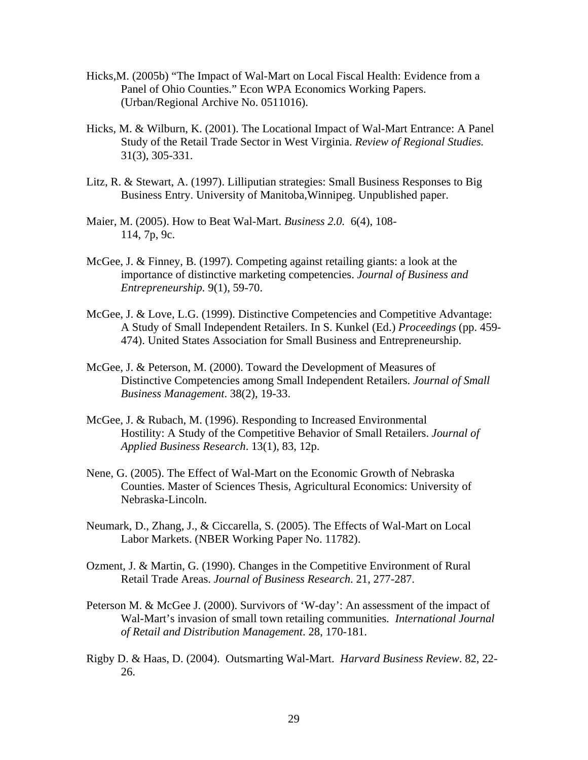- Hicks,M. (2005b) "The Impact of Wal-Mart on Local Fiscal Health: Evidence from a Panel of Ohio Counties." Econ WPA Economics Working Papers. (Urban/Regional Archive No. 0511016).
- Hicks, M. & Wilburn, K. (2001). The Locational Impact of Wal-Mart Entrance: A Panel Study of the Retail Trade Sector in West Virginia. *Review of Regional Studies.* 31(3), 305-331.
- Litz, R. & Stewart, A. (1997). Lilliputian strategies: Small Business Responses to Big Business Entry. University of Manitoba,Winnipeg. Unpublished paper.
- Maier, M. (2005). How to Beat Wal-Mart. *Business 2.0.* 6(4), 108- 114, 7p, 9c.
- McGee, J. & Finney, B. (1997). Competing against retailing giants: a look at the importance of distinctive marketing competencies. *Journal of Business and Entrepreneurship.* 9(1), 59-70.
- McGee, J. & Love, L.G. (1999). Distinctive Competencies and Competitive Advantage: A Study of Small Independent Retailers. In S. Kunkel (Ed.) *Proceedings* (pp. 459- 474). United States Association for Small Business and Entrepreneurship.
- McGee, J. & Peterson, M. (2000). Toward the Development of Measures of Distinctive Competencies among Small Independent Retailers. *Journal of Small Business Management*. 38(2), 19-33.
- McGee, J. & Rubach, M. (1996). Responding to Increased Environmental Hostility: A Study of the Competitive Behavior of Small Retailers. *Journal of Applied Business Research*. 13(1), 83, 12p.
- Nene, G. (2005). The Effect of Wal-Mart on the Economic Growth of Nebraska Counties. Master of Sciences Thesis, Agricultural Economics: University of Nebraska-Lincoln.
- Neumark, D., Zhang, J., & Ciccarella, S. (2005). The Effects of Wal-Mart on Local Labor Markets. (NBER Working Paper No. 11782).
- Ozment, J. & Martin, G. (1990). Changes in the Competitive Environment of Rural Retail Trade Areas. *Journal of Business Research*. 21, 277-287.
- Peterson M. & McGee J. (2000). Survivors of 'W-day': An assessment of the impact of Wal-Mart's invasion of small town retailing communities*. International Journal of Retail and Distribution Management*. 28, 170-181.
- Rigby D. & Haas, D. (2004). Outsmarting Wal-Mart. *Harvard Business Review*. 82, 22- 26.